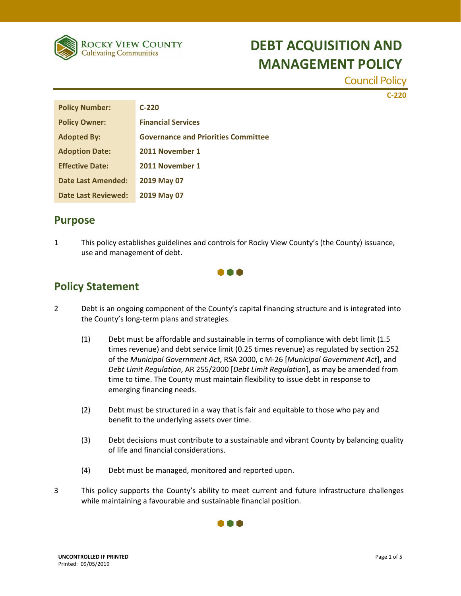

Council Policy

**C‐220**

| <b>Policy Number:</b>      | $C-220$                                    |
|----------------------------|--------------------------------------------|
| <b>Policy Owner:</b>       | <b>Financial Services</b>                  |
| <b>Adopted By:</b>         | <b>Governance and Priorities Committee</b> |
| <b>Adoption Date:</b>      | 2011 November 1                            |
| <b>Effective Date:</b>     | 2011 November 1                            |
| Date Last Amended:         | 2019 May 07                                |
| <b>Date Last Reviewed:</b> | 2019 May 07                                |

### **Purpose**

1 This policy establishes guidelines and controls for Rocky View County's (the County) issuance, use and management of debt.



### **Policy Statement**

- 2 Debt is an ongoing component of the County's capital financing structure and is integrated into the County's long‐term plans and strategies.
	- (1) Debt must be affordable and sustainable in terms of compliance with debt limit (1.5 times revenue) and debt service limit (0.25 times revenue) as regulated by section 252 of the *Municipal Government Act*, RSA 2000, c M‐26 [*Municipal Government Act*], and *Debt Limit Regulation*, AR 255/2000 [*Debt Limit Regulation*], as may be amended from time to time. The County must maintain flexibility to issue debt in response to emerging financing needs.
	- (2) Debt must be structured in a way that is fair and equitable to those who pay and benefit to the underlying assets over time.
	- (3) Debt decisions must contribute to a sustainable and vibrant County by balancing quality of life and financial considerations.
	- (4) Debt must be managed, monitored and reported upon.
- 3 This policy supports the County's ability to meet current and future infrastructure challenges while maintaining a favourable and sustainable financial position.

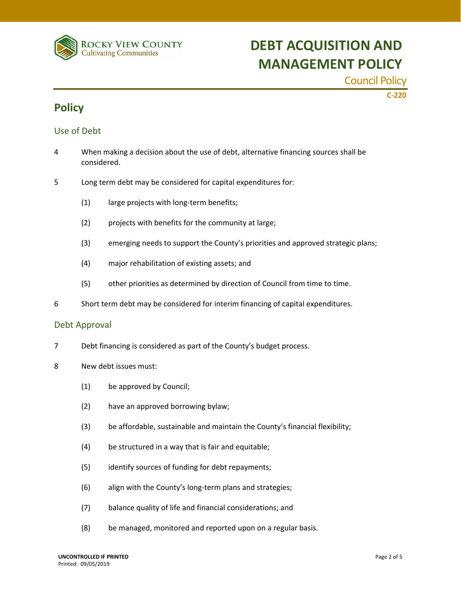

Council Policy

**C‐220**

### **Policy**

#### Use of Debt

- 4 When making a decision about the use of debt, alternative financing sources shall be considered.
- 5 Long term debt may be considered for capital expenditures for:
	- (1) large projects with long-term benefits;
	- (2) projects with benefits for the community at large;
	- (3) emerging needs to support the County's priorities and approved strategic plans;
	- (4) major rehabilitation of existing assets; and
	- (5) other priorities as determined by direction of Council from time to time.
- 6 Short term debt may be considered for interim financing of capital expenditures.

#### Debt Approval

- 7 Debt financing is considered as part of the County's budget process.
- 8 New debt issues must:
	- (1) be approved by Council;
	- (2) have an approved borrowing bylaw;
	- (3) be affordable, sustainable and maintain the County's financial flexibility;
	- (4) be structured in a way that is fair and equitable;
	- (5) identify sources of funding for debt repayments;
	- (6) align with the County's long‐term plans and strategies;
	- (7) balance quality of life and financial considerations; and
	- (8) be managed, monitored and reported upon on a regular basis.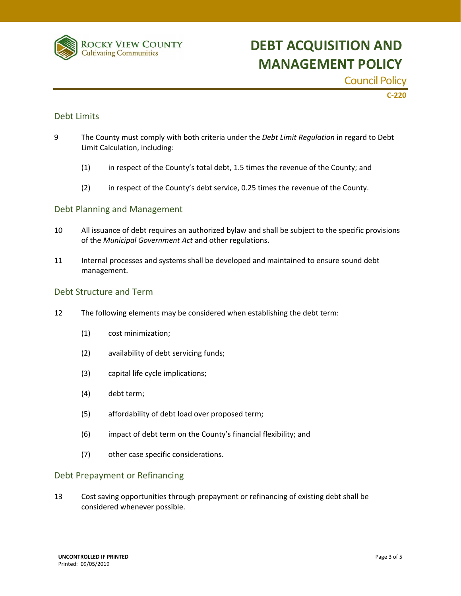

Council Policy

**C‐220**

#### Debt Limits

- 9 The County must comply with both criteria under the *Debt Limit Regulation* in regard to Debt Limit Calculation, including:
	- (1) in respect of the County's total debt, 1.5 times the revenue of the County; and
	- (2) in respect of the County's debt service, 0.25 times the revenue of the County.

#### Debt Planning and Management

- 10 All issuance of debt requires an authorized bylaw and shall be subject to the specific provisions of the *Municipal Government Act* and other regulations.
- 11 Internal processes and systems shall be developed and maintained to ensure sound debt management.

#### Debt Structure and Term

- 12 The following elements may be considered when establishing the debt term:
	- (1) cost minimization;
	- (2) availability of debt servicing funds;
	- (3) capital life cycle implications;
	- (4) debt term;
	- (5) affordability of debt load over proposed term;
	- (6) impact of debt term on the County's financial flexibility; and
	- (7) other case specific considerations.

#### Debt Prepayment or Refinancing

13 Cost saving opportunities through prepayment or refinancing of existing debt shall be considered whenever possible.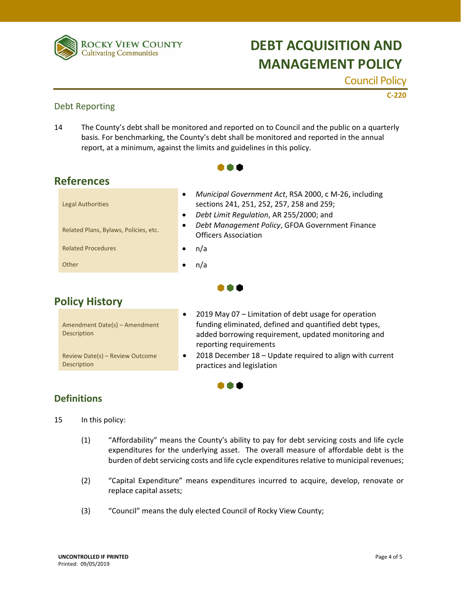

Council Policy

**C‐220**

#### Debt Reporting

14 The County's debt shall be monitored and reported on to Council and the public on a quarterly basis. For benchmarking, the County's debt shall be monitored and reported in the annual report, at a minimum, against the limits and guidelines in this policy.

A 8 8

| <b>Legal Authorities</b>              | Municipal Government Act, RSA 2000, c M-26, including<br>sections 241, 251, 252, 257, 258 and 259;<br>Debt Limit Regulation, AR 255/2000; and |
|---------------------------------------|-----------------------------------------------------------------------------------------------------------------------------------------------|
| Related Plans, Bylaws, Policies, etc. | Debt Management Policy, GFOA Government Finance<br><b>Officers Association</b>                                                                |
| <b>Related Procedures</b>             | n/a                                                                                                                                           |
| Other                                 | n/a                                                                                                                                           |
|                                       |                                                                                                                                               |

 $\bullet \bullet \bullet$ 

I O O

### **Policy History**

| Amendment Date(s) – Amendment<br>Description   |  |
|------------------------------------------------|--|
| Review Date(s) - Review Outcome<br>Description |  |

- 2019 May 07 Limitation of debt usage for operation funding eliminated, defined and quantified debt types, added borrowing requirement, updated monitoring and reporting requirements
- 2018 December 18 Update required to align with current practices and legislation

#### **Definitions**

- 15 In this policy:
	- (1) "Affordability" means the County's ability to pay for debt servicing costs and life cycle expenditures for the underlying asset. The overall measure of affordable debt is the burden of debt servicing costs and life cycle expenditures relative to municipal revenues;
	- (2) "Capital Expenditure" means expenditures incurred to acquire, develop, renovate or replace capital assets;
	- (3) "Council" means the duly elected Council of Rocky View County;

# **References**